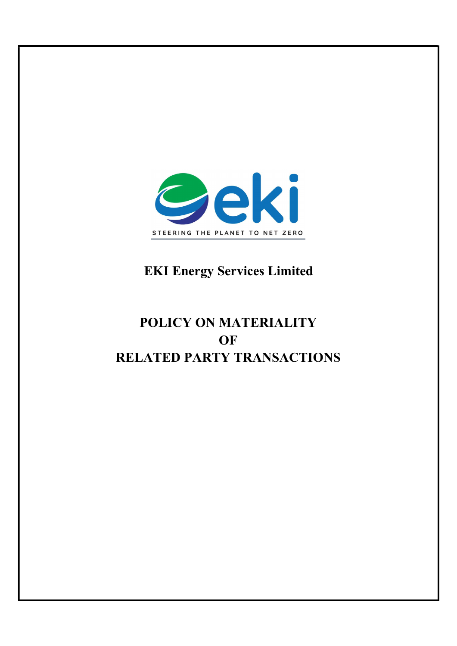

## EKI Energy Services Limited

# POLICY ON MATERIALITY **OF** RELATED PARTY TRANSACTIONS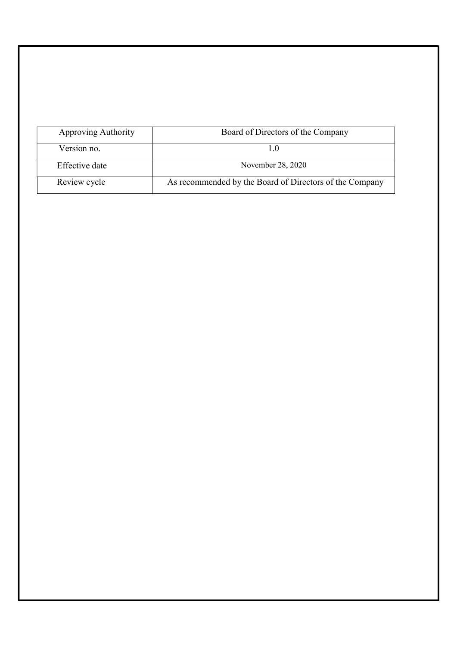| Approving Authority | Board of Directors of the Company                       |
|---------------------|---------------------------------------------------------|
| Version no.         |                                                         |
| Effective date      | November 28, 2020                                       |
| Review cycle        | As recommended by the Board of Directors of the Company |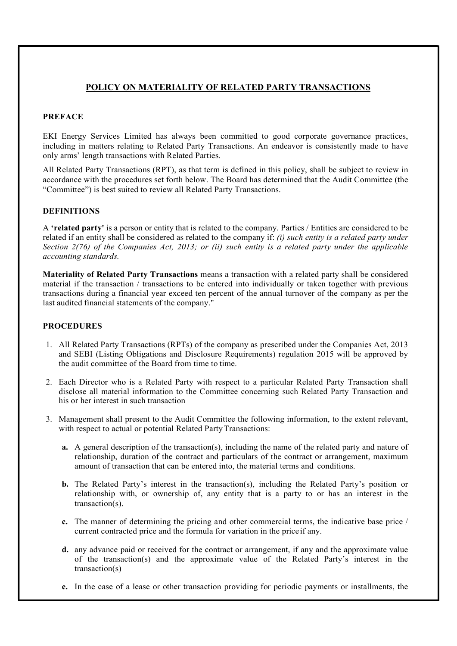## POLICY ON MATERIALITY OF RELATED PARTY TRANSACTIONS

### PREFACE

EKI Energy Services Limited has always been committed to good corporate governance practices, including in matters relating to Related Party Transactions. An endeavor is consistently made to have only arms' length transactions with Related Parties.

All Related Party Transactions (RPT), as that term is defined in this policy, shall be subject to review in accordance with the procedures set forth below. The Board has determined that the Audit Committee (the "Committee") is best suited to review all Related Party Transactions.

#### DEFINITIONS

A 'related party' is a person or entity that is related to the company. Parties / Entities are considered to be related if an entity shall be considered as related to the company if: (i) such entity is a related party under Section 2(76) of the Companies Act, 2013; or (ii) such entity is a related party under the applicable accounting standards.

Materiality of Related Party Transactions means a transaction with a related party shall be considered material if the transaction / transactions to be entered into individually or taken together with previous transactions during a financial year exceed ten percent of the annual turnover of the company as per the last audited financial statements of the company."

#### PROCEDURES

- 1. All Related Party Transactions (RPTs) of the company as prescribed under the Companies Act, 2013 and SEBI (Listing Obligations and Disclosure Requirements) regulation 2015 will be approved by the audit committee of the Board from time to time.
- 2. Each Director who is a Related Party with respect to a particular Related Party Transaction shall disclose all material information to the Committee concerning such Related Party Transaction and his or her interest in such transaction
- 3. Management shall present to the Audit Committee the following information, to the extent relevant, with respect to actual or potential Related Party Transactions:
	- a. A general description of the transaction(s), including the name of the related party and nature of relationship, duration of the contract and particulars of the contract or arrangement, maximum amount of transaction that can be entered into, the material terms and conditions.
	- b. The Related Party's interest in the transaction(s), including the Related Party's position or relationship with, or ownership of, any entity that is a party to or has an interest in the transaction(s).
	- c. The manner of determining the pricing and other commercial terms, the indicative base price / current contracted price and the formula for variation in the price if any.
	- d. any advance paid or received for the contract or arrangement, if any and the approximate value of the transaction(s) and the approximate value of the Related Party's interest in the transaction(s)
	- e. In the case of a lease or other transaction providing for periodic payments or installments, the